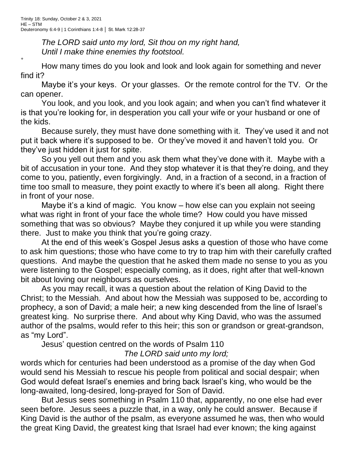*+*

*The LORD said unto my lord, Sit thou on my right hand, Until I make thine enemies thy footstool.*

How many times do you look and look and look again for something and never find it?

Maybe it's your keys. Or your glasses. Or the remote control for the TV. Or the can opener.

You look, and you look, and you look again; and when you can't find whatever it is that you're looking for, in desperation you call your wife or your husband or one of the kids.

Because surely, they must have done something with it. They've used it and not put it back where it's supposed to be. Or they've moved it and haven't told you. Or they've just hidden it just for spite.

So you yell out them and you ask them what they've done with it. Maybe with a bit of accusation in your tone. And they stop whatever it is that they're doing, and they come to you, patiently, even forgivingly. And, in a fraction of a second, in a fraction of time too small to measure, they point exactly to where it's been all along. Right there in front of your nose.

Maybe it's a kind of magic. You know – how else can you explain not seeing what was right in front of your face the whole time? How could you have missed something that was so obvious? Maybe they conjured it up while you were standing there. Just to make you think that you're going crazy.

At the end of this week's Gospel Jesus asks a question of those who have come to ask him questions; those who have come to try to trap him with their carefully crafted questions. And maybe the question that he asked them made no sense to you as you were listening to the Gospel; especially coming, as it does, right after that well-known bit about loving our neighbours as ourselves.

As you may recall, it was a question about the relation of King David to the Christ; to the Messiah. And about how the Messiah was supposed to be, according to prophecy, a son of David; a male heir; a new king descended from the line of Israel's greatest king. No surprise there. And about why King David, who was the assumed author of the psalms, would refer to this heir; this son or grandson or great-grandson, as "my Lord".

Jesus' question centred on the words of Psalm 110

## *The LORD said unto my lord;*

words which for centuries had been understood as a promise of the day when God would send his Messiah to rescue his people from political and social despair; when God would defeat Israel's enemies and bring back Israel's king, who would be the long-awaited, long-desired, long-prayed for Son of David.

But Jesus sees something in Psalm 110 that, apparently, no one else had ever seen before. Jesus sees a puzzle that, in a way, only he could answer. Because if King David is the author of the psalm, as everyone assumed he was, then who would the great King David, the greatest king that Israel had ever known; the king against